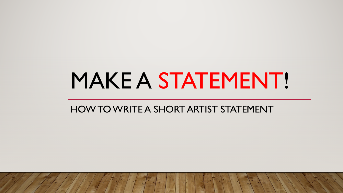# MAKE A STATEMENT!

#### HOW TO WRITE A SHORT ARTIST STATEMENT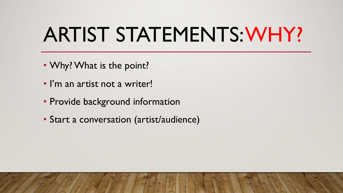# ARTIST STATEMENTS: WHY?

- Why? What is the point?
- I'm an artist not a writer!
- Provide background information
- Start a conversation (artist/audience)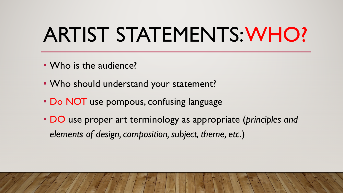# ARTIST STATEMENTS: WHO?

- Who is the audience?
- Who should understand your statement?
- Do NOT use pompous, confusing language
- DO use proper art terminology as appropriate (*principles and elements of design, composition, subject, theme, etc*.)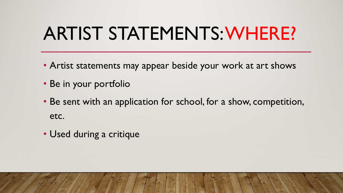### ARTIST STATEMENTS: WHERE?

- Artist statements may appear beside your work at art shows
- Be in your portfolio
- Be sent with an application for school, for a show, competition, etc.
- Used during a critique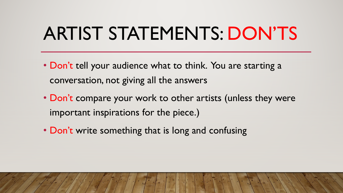## ARTIST STATEMENTS: DON'TS

- Don't tell your audience what to think. You are starting a conversation, not giving all the answers
- Don't compare your work to other artists (unless they were important inspirations for the piece.)
- Don't write something that is long and confusing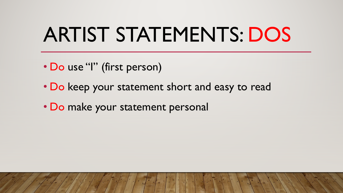## ARTIST STATEMENTS: DOS

- Do use "I" (first person)
- Do keep your statement short and easy to read
- Do make your statement personal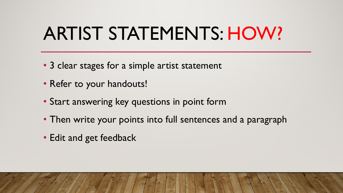## ARTIST STATEMENTS: HOW?

- 3 clear stages for a simple artist statement
- Refer to your handouts!
- Start answering key questions in point form
- Then write your points into full sentences and a paragraph
- Edit and get feedback